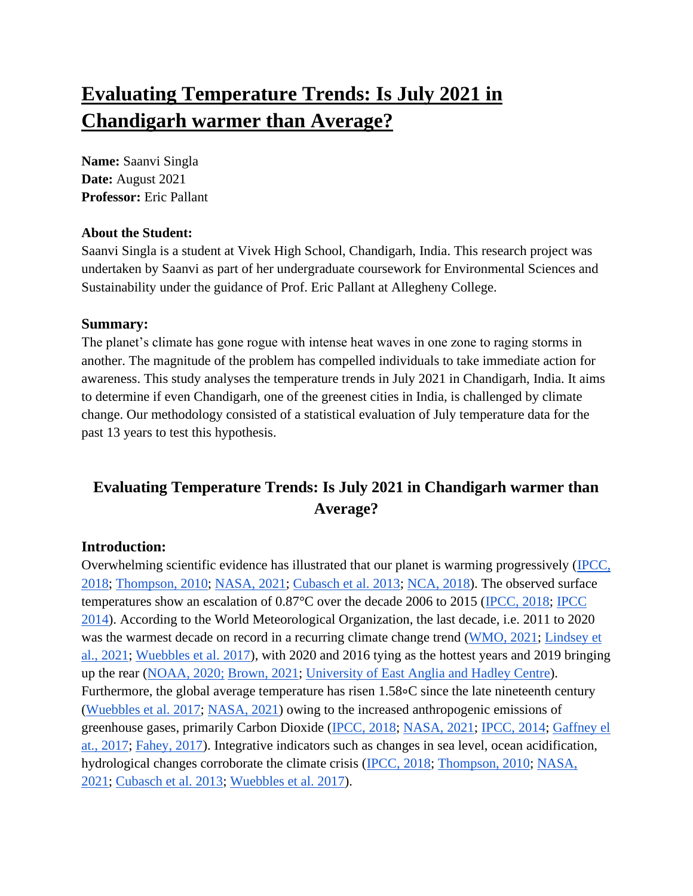# **Evaluating Temperature Trends: Is July 2021 in Chandigarh warmer than Average?**

**Name:** Saanvi Singla **Date:** August 2021 **Professor:** Eric Pallant

#### **About the Student:**

Saanvi Singla is a student at Vivek High School, Chandigarh, India. This research project was undertaken by Saanvi as part of her undergraduate coursework for Environmental Sciences and Sustainability under the guidance of Prof. Eric Pallant at Allegheny College.

## **Summary:**

The planet's climate has gone rogue with intense heat waves in one zone to raging storms in another. The magnitude of the problem has compelled individuals to take immediate action for awareness. This study analyses the temperature trends in July 2021 in Chandigarh, India. It aims to determine if even Chandigarh, one of the greenest cities in India, is challenged by climate change. Our methodology consisted of a statistical evaluation of July temperature data for the past 13 years to test this hypothesis.

# **Evaluating Temperature Trends: Is July 2021 in Chandigarh warmer than Average?**

# **Introduction:**

Overwhelming scientific evidence has illustrated that our planet is warming progressively [\(IPCC,](#page-6-0)  [2018;](#page-6-0) [Thompson, 2010;](#page-7-0) [NASA, 2021;](#page-7-1) [Cubasch et al. 2013;](#page-7-2) [NCA, 2018\)](#page-7-3). The observed surface temperatures show an escalation of 0.87°C over the decade 2006 to 2015 [\(IPCC, 2018;](#page-6-0) [IPCC](#page-7-4)  [2014\)](#page-7-4). According to the World Meteorological Organization, the last decade, i.e. 2011 to 2020 was the warmest decade on record in a recurring climate change trend [\(WMO, 2021;](#page-7-5) [Lindsey et](#page-7-6)  [al., 2021;](#page-7-6) [Wuebbles et al. 2017\)](#page-8-0), with 2020 and 2016 tying as the hottest years and 2019 bringing up the rear [\(NOAA, 2020;](#page-7-7) [Brown, 2021;](#page-7-8) [University of East Anglia and Hadley Centre\)](#page-7-9). Furthermore, the global average temperature has risen 1.58∘C since the late nineteenth century [\(Wuebbles et al. 2017;](#page-8-0) [NASA, 2021\)](#page-8-1) owing to the increased anthropogenic emissions of greenhouse gases, primarily Carbon Dioxide [\(IPCC, 2018;](#page-6-0) [NASA, 2021;](#page-7-1) [IPCC, 2014;](#page-7-4) [Gaffney el](#page-8-2)  [at., 2017;](#page-8-2) [Fahey, 2017\)](#page-8-3). Integrative indicators such as changes in sea level, ocean acidification, hydrological changes corroborate the climate crisis [\(IPCC, 2018;](#page-6-0) [Thompson, 2010;](#page-7-0) [NASA,](#page-7-1)  [2021;](#page-7-1) [Cubasch et al. 2013;](#page-7-2) [Wuebbles et al. 2017\)](#page-8-0).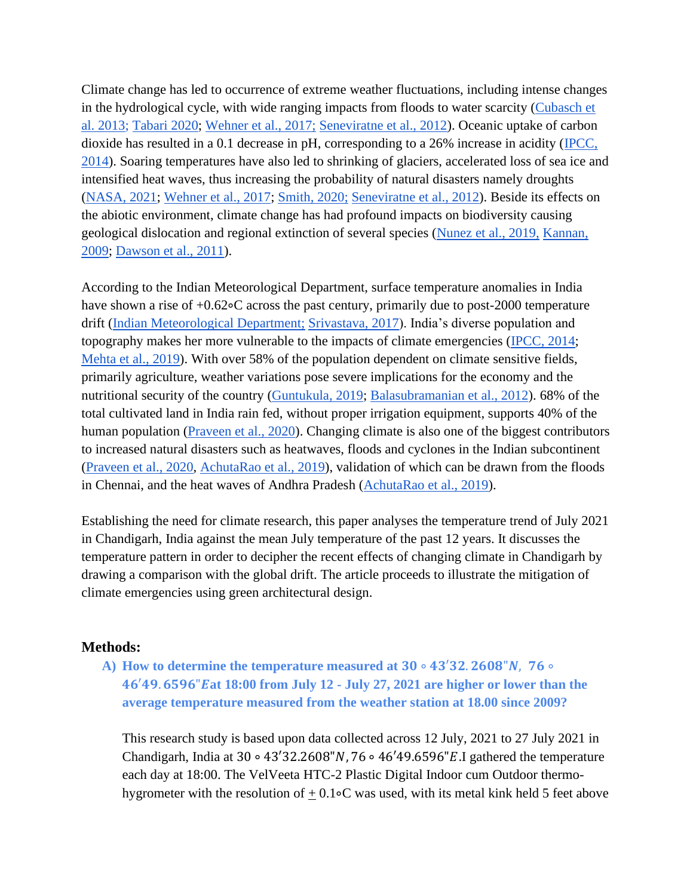Climate change has led to occurrence of extreme weather fluctuations, including intense changes in the hydrological cycle, with wide ranging impacts from floods to water scarcity [\(Cubasch et](#page-7-2)  [al. 2013;](#page-7-2) [Tabari 2020;](#page-8-4) [Wehner et al., 2017;](#page-8-5) [Seneviratne et al., 2012\)](#page-8-6). Oceanic uptake of carbon dioxide has resulted in a 0.1 decrease in pH, corresponding to a 26% increase in acidity [\(IPCC,](#page-7-4)  [2014\)](#page-7-4). Soaring temperatures have also led to shrinking of glaciers, accelerated loss of sea ice and intensified heat waves, thus increasing the probability of natural disasters namely droughts [\(NASA, 2021;](#page-7-1) [Wehner et al., 2017;](#page-8-5) [Smith, 2020;](#page-8-7) [Seneviratne et al., 2012\)](#page-8-6). Beside its effects on the abiotic environment, climate change has had profound impacts on biodiversity causing geological dislocation and regional extinction of several species [\(Nunez et al., 2019,](#page-9-0) [Kannan,](#page-9-1)  [2009;](#page-9-1) [Dawson et al., 2011\)](#page-9-2).

According to the Indian Meteorological Department, surface temperature anomalies in India have shown a rise of +0.62∘C across the past century, primarily due to post-2000 temperature drift [\(Indian Meteorological Department;](#page-9-3) [Srivastava, 2017\)](#page-9-4). India's diverse population and topography makes her more vulnerable to the impacts of climate emergencies [\(IPCC, 2014;](#page-7-4) [Mehta et al., 2019\)](#page-9-5). With over 58% of the population dependent on climate sensitive fields, primarily agriculture, weather variations pose severe implications for the economy and the nutritional security of the country [\(Guntukula, 2019;](#page-9-6) [Balasubramanian et al., 2012\)](#page-9-7). 68% of the total cultivated land in India rain fed, without proper irrigation equipment, supports 40% of the human population [\(Praveen et al., 2020\)](#page-9-8). Changing climate is also one of the biggest contributors to increased natural disasters such as heatwaves, floods and cyclones in the Indian subcontinent [\(Praveen et al., 2020,](#page-9-8) [AchutaRao et al., 2019\)](#page-9-9), validation of which can be drawn from the floods in Chennai, and the heat waves of Andhra Pradesh [\(AchutaRao et al., 2019\)](#page-9-9).

Establishing the need for climate research, this paper analyses the temperature trend of July 2021 in Chandigarh, India against the mean July temperature of the past 12 years. It discusses the temperature pattern in order to decipher the recent effects of changing climate in Chandigarh by drawing a comparison with the global drift. The article proceeds to illustrate the mitigation of climate emergencies using green architectural design.

#### **Methods:**

**A)** How to determine the temperature measured at  $30 \circ 43'32$ ,  $2608"N$ ,  $76 \circ$ ′. "**at 18:00 from July 12 - July 27, 2021 are higher or lower than the average temperature measured from the weather station at 18.00 since 2009?**

This research study is based upon data collected across 12 July, 2021 to 27 July 2021 in Chandigarh, India at 30 ∘ 43'32.2608"N, 76 ∘ 46'49.6596"E.I gathered the temperature each day at 18:00. The VelVeeta HTC-2 Plastic Digital Indoor cum Outdoor thermohygrometer with the resolution of  $\pm$  0.1∘C was used, with its metal kink held 5 feet above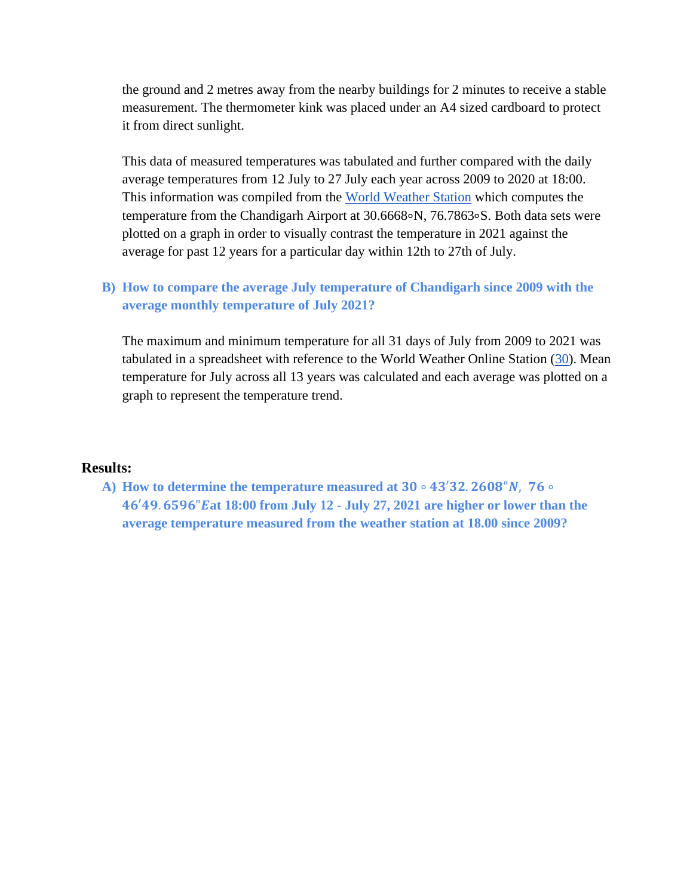the ground and 2 metres away from the nearby buildings for 2 minutes to receive a stable measurement. The thermometer kink was placed under an A4 sized cardboard to protect it from direct sunlight.

This data of measured temperatures was tabulated and further compared with the daily average temperatures from 12 July to 27 July each year across 2009 to 2020 at 18:00. This information was compiled from the [World Weather Station](https://www.worldweatheronline.com/chandigarh-weather/chandigarh/in.aspx) which computes the temperature from the Chandigarh Airport at 30.6668∘N, 76.7863∘S. Both data sets were plotted on a graph in order to visually contrast the temperature in 2021 against the average for past 12 years for a particular day within 12th to 27th of July.

## **B) How to compare the average July temperature of Chandigarh since 2009 with the average monthly temperature of July 2021?**

The maximum and minimum temperature for all 31 days of July from 2009 to 2021 was tabulated in a spreadsheet with reference to the World Weather Online Station  $(30)$ . Mean temperature for July across all 13 years was calculated and each average was plotted on a graph to represent the temperature trend.

#### **Results:**

**A)** How to determine the temperature measured at  $30 \circ 43'32$ ,  $2608''N$ ,  $76 \circ$ ′. "**at 18:00 from July 12 - July 27, 2021 are higher or lower than the average temperature measured from the weather station at 18.00 since 2009?**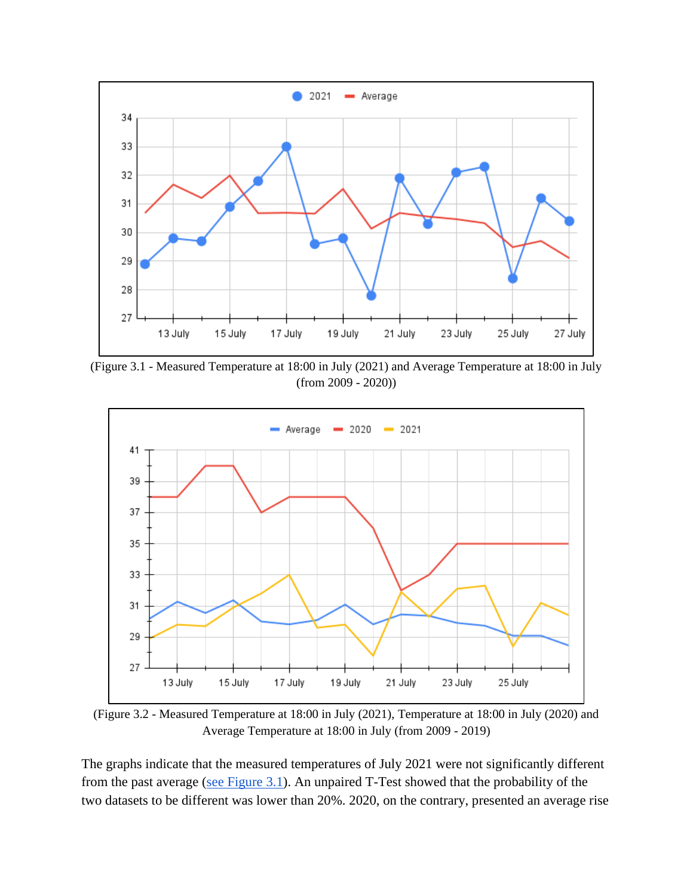

<span id="page-3-0"></span>(Figure 3.1 - Measured Temperature at 18:00 in July (2021) and Average Temperature at 18:00 in July (from 2009 - 2020))



<span id="page-3-1"></span>(Figure 3.2 - Measured Temperature at 18:00 in July (2021), Temperature at 18:00 in July (2020) and Average Temperature at 18:00 in July (from 2009 - 2019)

The graphs indicate that the measured temperatures of July 2021 were not significantly different from the past average (see Figure  $3.1$ ). An unpaired T-Test showed that the probability of the two datasets to be different was lower than 20%. 2020, on the contrary, presented an average rise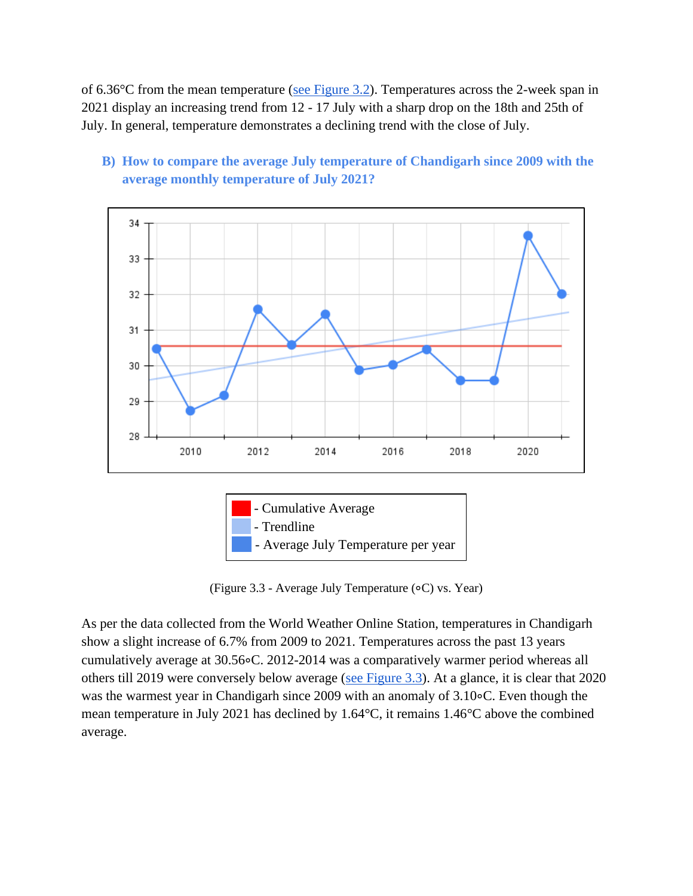of 6.36°C from the mean temperature [\(see Figure 3.2\)](#page-3-1). Temperatures across the 2-week span in 2021 display an increasing trend from 12 - 17 July with a sharp drop on the 18th and 25th of July. In general, temperature demonstrates a declining trend with the close of July.



**B) How to compare the average July temperature of Chandigarh since 2009 with the average monthly temperature of July 2021?**



(Figure 3.3 - Average July Temperature (∘C) vs. Year)

<span id="page-4-0"></span>As per the data collected from the World Weather Online Station, temperatures in Chandigarh show a slight increase of 6.7% from 2009 to 2021. Temperatures across the past 13 years cumulatively average at 30.56∘C. 2012-2014 was a comparatively warmer period whereas all others till 2019 were conversely below average [\(see Figure 3.3\)](#page-4-0). At a glance, it is clear that 2020 was the warmest year in Chandigarh since 2009 with an anomaly of 3.10∘C. Even though the mean temperature in July 2021 has declined by 1.64°C, it remains 1.46°C above the combined average.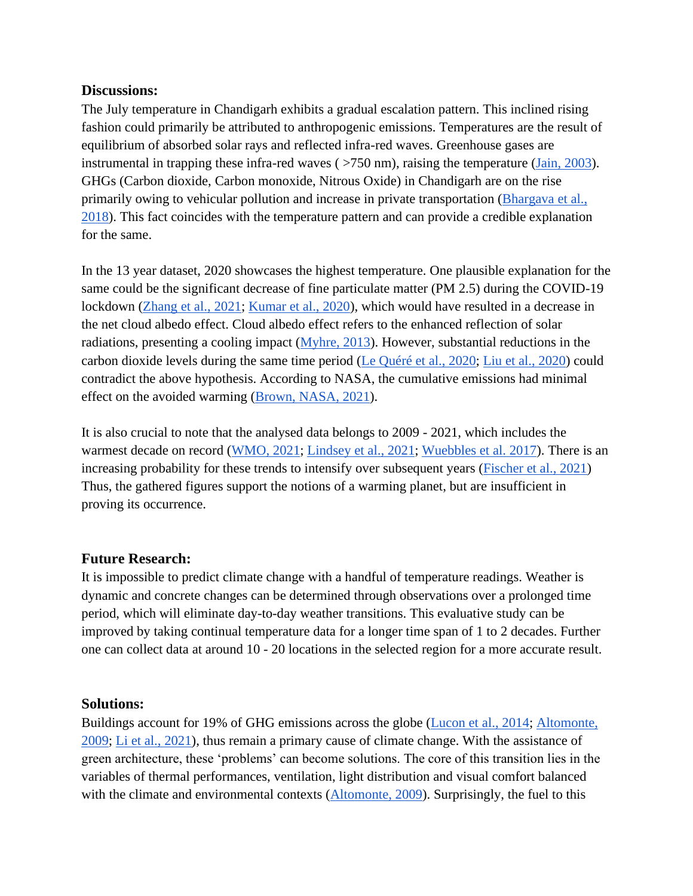#### **Discussions:**

The July temperature in Chandigarh exhibits a gradual escalation pattern. This inclined rising fashion could primarily be attributed to anthropogenic emissions. Temperatures are the result of equilibrium of absorbed solar rays and reflected infra-red waves. Greenhouse gases are instrumental in trapping these infra-red waves ( >750 nm), raising the temperature [\(Jain, 2003\)](#page-10-0). GHGs (Carbon dioxide, Carbon monoxide, Nitrous Oxide) in Chandigarh are on the rise primarily owing to vehicular pollution and increase in private transportation (Bhargava et al., [2018\)](#page-10-1). This fact coincides with the temperature pattern and can provide a credible explanation for the same.

In the 13 year dataset, 2020 showcases the highest temperature. One plausible explanation for the same could be the significant decrease of fine particulate matter (PM 2.5) during the COVID-19 lockdown [\(Zhang et al., 2021;](#page-10-2) [Kumar et al., 2020\)](#page-10-3), which would have resulted in a decrease in the net cloud albedo effect. Cloud albedo effect refers to the enhanced reflection of solar radiations, presenting a cooling impact [\(Myhre, 2013\)](#page-10-4). However, substantial reductions in the carbon dioxide levels during the same time period [\(Le Quéré et al., 2020;](#page-10-5) [Liu et al., 2020\)](#page-10-6) could contradict the above hypothesis. According to NASA, the cumulative emissions had minimal effect on the avoided warming [\(Brown, NASA, 2021\)](#page-7-8).

It is also crucial to note that the analysed data belongs to 2009 - 2021, which includes the warmest decade on record [\(WMO, 2021;](#page-7-5) [Lindsey et al., 2021;](#page-7-6) [Wuebbles et al. 2017\)](#page-8-0). There is an increasing probability for these trends to intensify over subsequent years [\(Fischer et al., 2021\)](#page-10-7) Thus, the gathered figures support the notions of a warming planet, but are insufficient in proving its occurrence.

#### **Future Research:**

It is impossible to predict climate change with a handful of temperature readings. Weather is dynamic and concrete changes can be determined through observations over a prolonged time period, which will eliminate day-to-day weather transitions. This evaluative study can be improved by taking continual temperature data for a longer time span of 1 to 2 decades. Further one can collect data at around 10 - 20 locations in the selected region for a more accurate result.

#### **Solutions:**

Buildings account for 19% of GHG emissions across the globe [\(Lucon et al., 2014;](#page-11-0) [Altomonte,](#page-10-8)  [2009;](#page-10-8) [Li et al., 2021\)](#page-11-1), thus remain a primary cause of climate change. With the assistance of green architecture, these 'problems' can become solutions. The core of this transition lies in the variables of thermal performances, ventilation, light distribution and visual comfort balanced with the climate and environmental contexts [\(Altomonte, 2009\)](#page-10-8). Surprisingly, the fuel to this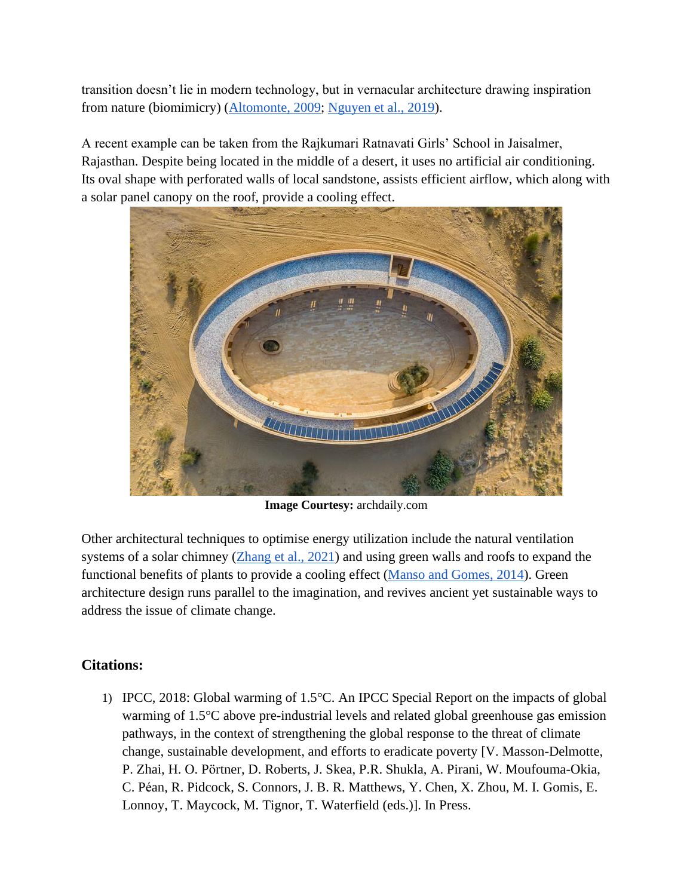transition doesn't lie in modern technology, but in vernacular architecture drawing inspiration from nature (biomimicry) [\(Altomonte, 2009;](#page-10-8) [Nguyen et al., 2019\)](#page-11-2).

A recent example can be taken from the Rajkumari Ratnavati Girls' School in Jaisalmer, Rajasthan. Despite being located in the middle of a desert, it uses no artificial air conditioning. Its oval shape with perforated walls of local sandstone, assists efficient airflow, which along with a solar panel canopy on the roof, provide a cooling effect.



**Image Courtesy:** archdaily.com

Other architectural techniques to optimise energy utilization include the natural ventilation systems of a solar chimney [\(Zhang et al., 2021\)](#page-11-3) and using green walls and roofs to expand the functional benefits of plants to provide a cooling effect [\(Manso and Gomes, 2014\)](#page-11-4). Green architecture design runs parallel to the imagination, and revives ancient yet sustainable ways to address the issue of climate change.

# <span id="page-6-0"></span>**Citations:**

1) IPCC, 2018: Global warming of 1.5°C. An IPCC Special Report on the impacts of global warming of 1.5°C above pre-industrial levels and related global greenhouse gas emission pathways, in the context of strengthening the global response to the threat of climate change, sustainable development, and efforts to eradicate poverty [V. Masson-Delmotte, P. Zhai, H. O. Pörtner, D. Roberts, J. Skea, P.R. Shukla, A. Pirani, W. Moufouma-Okia, C. Péan, R. Pidcock, S. Connors, J. B. R. Matthews, Y. Chen, X. Zhou, M. I. Gomis, E. Lonnoy, T. Maycock, M. Tignor, T. Waterfield (eds.)]. In Press.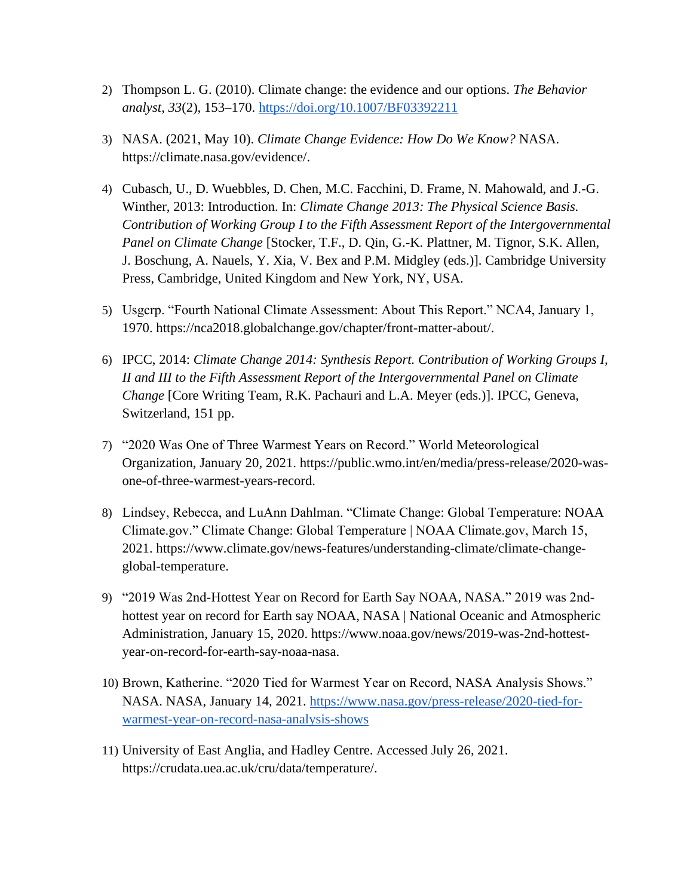- <span id="page-7-0"></span>2) Thompson L. G. (2010). Climate change: the evidence and our options. *The Behavior analyst*, *33*(2), 153–170.<https://doi.org/10.1007/BF03392211>
- <span id="page-7-1"></span>3) NASA. (2021, May 10). *Climate Change Evidence: How Do We Know?* NASA. https://climate.nasa.gov/evidence/.
- <span id="page-7-2"></span>4) Cubasch, U., D. Wuebbles, D. Chen, M.C. Facchini, D. Frame, N. Mahowald, and J.-G. Winther, 2013: Introduction. In: *Climate Change 2013: The Physical Science Basis. Contribution of Working Group I to the Fifth Assessment Report of the Intergovernmental Panel on Climate Change* [Stocker, T.F., D. Qin, G.-K. Plattner, M. Tignor, S.K. Allen, J. Boschung, A. Nauels, Y. Xia, V. Bex and P.M. Midgley (eds.)]. Cambridge University Press, Cambridge, United Kingdom and New York, NY, USA.
- <span id="page-7-3"></span>5) Usgcrp. "Fourth National Climate Assessment: About This Report." NCA4, January 1, 1970. https://nca2018.globalchange.gov/chapter/front-matter-about/.
- <span id="page-7-4"></span>6) IPCC, 2014: *Climate Change 2014: Synthesis Report. Contribution of Working Groups I, II and III to the Fifth Assessment Report of the Intergovernmental Panel on Climate Change* [Core Writing Team, R.K. Pachauri and L.A. Meyer (eds.)]. IPCC, Geneva, Switzerland, 151 pp.
- <span id="page-7-5"></span>7) "2020 Was One of Three Warmest Years on Record." World Meteorological Organization, January 20, 2021. https://public.wmo.int/en/media/press-release/2020-wasone-of-three-warmest-years-record.
- <span id="page-7-6"></span>8) Lindsey, Rebecca, and LuAnn Dahlman. "Climate Change: Global Temperature: NOAA Climate.gov." Climate Change: Global Temperature | NOAA Climate.gov, March 15, 2021. https://www.climate.gov/news-features/understanding-climate/climate-changeglobal-temperature.
- <span id="page-7-7"></span>9) "2019 Was 2nd-Hottest Year on Record for Earth Say NOAA, NASA." 2019 was 2ndhottest year on record for Earth say NOAA, NASA | National Oceanic and Atmospheric Administration, January 15, 2020. https://www.noaa.gov/news/2019-was-2nd-hottestyear-on-record-for-earth-say-noaa-nasa.
- <span id="page-7-8"></span>10) Brown, Katherine. "2020 Tied for Warmest Year on Record, NASA Analysis Shows." NASA. NASA, January 14, 2021. [https://www.nasa.gov/press-release/2020-tied-for](https://www.nasa.gov/press-release/2020-tied-for-warmest-year-on-record-nasa-analysis-shows)[warmest-year-on-record-nasa-analysis-shows](https://www.nasa.gov/press-release/2020-tied-for-warmest-year-on-record-nasa-analysis-shows)
- <span id="page-7-9"></span>11) University of East Anglia, and Hadley Centre. Accessed July 26, 2021. https://crudata.uea.ac.uk/cru/data/temperature/.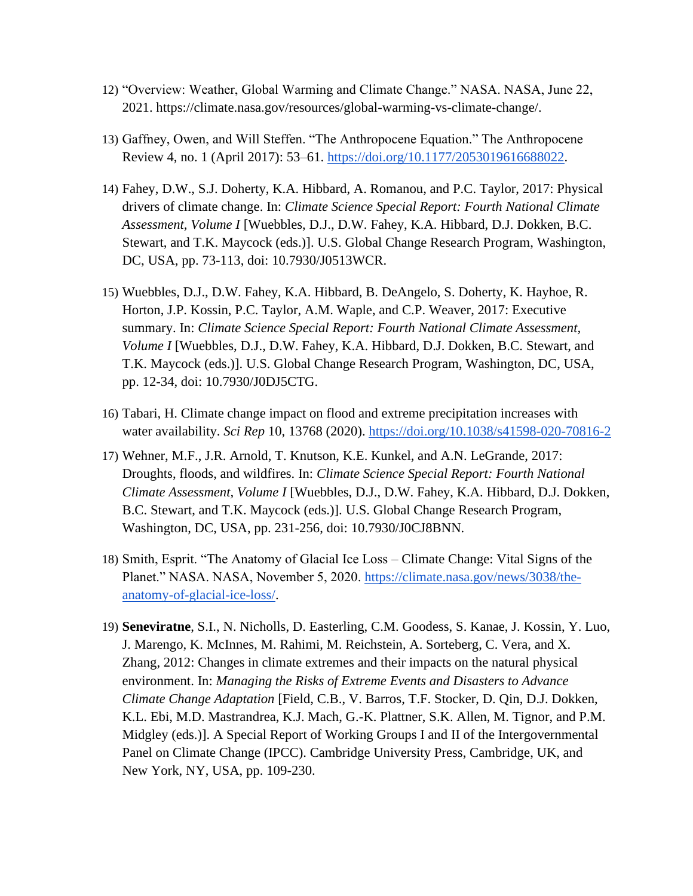- <span id="page-8-1"></span>12) "Overview: Weather, Global Warming and Climate Change." NASA. NASA, June 22, 2021. https://climate.nasa.gov/resources/global-warming-vs-climate-change/.
- <span id="page-8-2"></span>13) Gaffney, Owen, and Will Steffen. "The Anthropocene Equation." The Anthropocene Review 4, no. 1 (April 2017): 53–61. [https://doi.org/10.1177/2053019616688022.](https://doi.org/10.1177/2053019616688022)
- <span id="page-8-3"></span>14) Fahey, D.W., S.J. Doherty, K.A. Hibbard, A. Romanou, and P.C. Taylor, 2017: Physical drivers of climate change. In: *Climate Science Special Report: Fourth National Climate Assessment, Volume I* [Wuebbles, D.J., D.W. Fahey, K.A. Hibbard, D.J. Dokken, B.C. Stewart, and T.K. Maycock (eds.)]. U.S. Global Change Research Program, Washington, DC, USA, pp. 73-113, doi: [10.7930/J0513WCR.](http://doi.org/10.7930/J0513WCR)
- <span id="page-8-0"></span>15) Wuebbles, D.J., D.W. Fahey, K.A. Hibbard, B. DeAngelo, S. Doherty, K. Hayhoe, R. Horton, J.P. Kossin, P.C. Taylor, A.M. Waple, and C.P. Weaver, 2017: Executive summary. In: *Climate Science Special Report: Fourth National Climate Assessment, Volume I* [Wuebbles, D.J., D.W. Fahey, K.A. Hibbard, D.J. Dokken, B.C. Stewart, and T.K. Maycock (eds.)]. U.S. Global Change Research Program, Washington, DC, USA, pp. 12-34, doi: [10.7930/J0DJ5CTG.](http://doi.org/10.7930/J0DJ5CTG)
- <span id="page-8-4"></span>16) Tabari, H. Climate change impact on flood and extreme precipitation increases with water availability. *Sci Rep* 10, 13768 (2020).<https://doi.org/10.1038/s41598-020-70816-2>
- <span id="page-8-5"></span>17) Wehner, M.F., J.R. Arnold, T. Knutson, K.E. Kunkel, and A.N. LeGrande, 2017: Droughts, floods, and wildfires. In: *Climate Science Special Report: Fourth National Climate Assessment, Volume I* [Wuebbles, D.J., D.W. Fahey, K.A. Hibbard, D.J. Dokken, B.C. Stewart, and T.K. Maycock (eds.)]. U.S. Global Change Research Program, Washington, DC, USA, pp. 231-256, doi: [10.7930/J0CJ8BNN.](http://doi.org/10.7930/J0CJ8BNN)
- <span id="page-8-7"></span>18) Smith, Esprit. "The Anatomy of Glacial Ice Loss – Climate Change: Vital Signs of the Planet." NASA. NASA, November 5, 2020. [https://climate.nasa.gov/news/3038/the](https://climate.nasa.gov/news/3038/the-anatomy-of-glacial-ice-loss/)[anatomy-of-glacial-ice-loss/.](https://climate.nasa.gov/news/3038/the-anatomy-of-glacial-ice-loss/)
- <span id="page-8-6"></span>19) **Seneviratne**, S.I., N. Nicholls, D. Easterling, C.M. Goodess, S. Kanae, J. Kossin, Y. Luo, J. Marengo, K. McInnes, M. Rahimi, M. Reichstein, A. Sorteberg, C. Vera, and X. Zhang, 2012: Changes in climate extremes and their impacts on the natural physical environment. In: *Managing the Risks of Extreme Events and Disasters to Advance Climate Change Adaptation* [Field, C.B., V. Barros, T.F. Stocker, D. Qin, D.J. Dokken, K.L. Ebi, M.D. Mastrandrea, K.J. Mach, G.-K. Plattner, S.K. Allen, M. Tignor, and P.M. Midgley (eds.)]. A Special Report of Working Groups I and II of the Intergovernmental Panel on Climate Change (IPCC). Cambridge University Press, Cambridge, UK, and New York, NY, USA, pp. 109-230.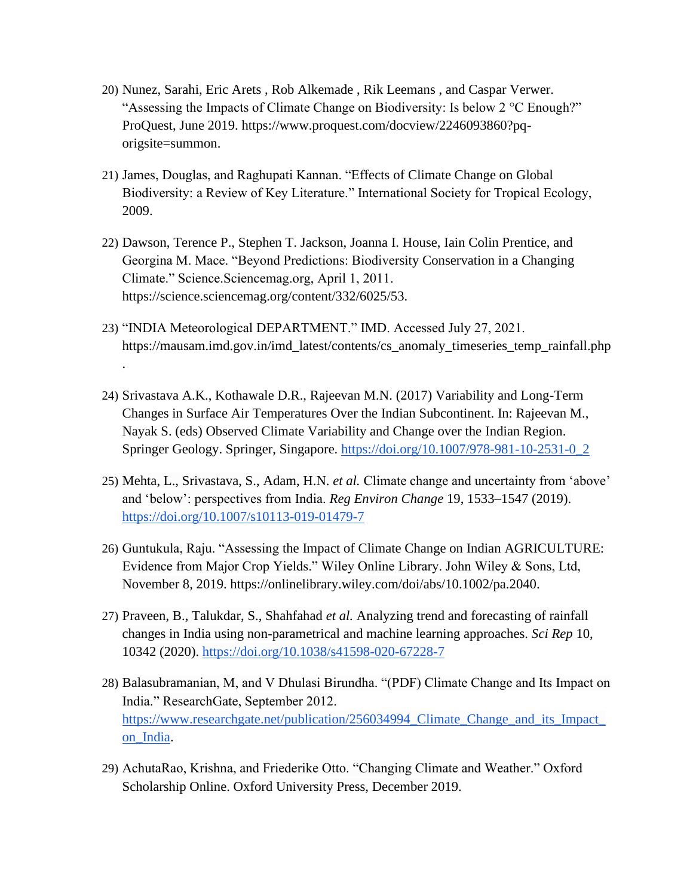- <span id="page-9-0"></span>20) Nunez, Sarahi, Eric Arets , Rob Alkemade , Rik Leemans , and Caspar Verwer. "Assessing the Impacts of Climate Change on Biodiversity: Is below 2 °C Enough?" ProQuest, June 2019. https://www.proquest.com/docview/2246093860?pqorigsite=summon.
- <span id="page-9-1"></span>21) James, Douglas, and Raghupati Kannan. "Effects of Climate Change on Global Biodiversity: a Review of Key Literature." International Society for Tropical Ecology, 2009.
- <span id="page-9-2"></span>22) Dawson, Terence P., Stephen T. Jackson, Joanna I. House, Iain Colin Prentice, and Georgina M. Mace. "Beyond Predictions: Biodiversity Conservation in a Changing Climate." Science.Sciencemag.org, April 1, 2011. https://science.sciencemag.org/content/332/6025/53.
- <span id="page-9-3"></span>23) "INDIA Meteorological DEPARTMENT." IMD. Accessed July 27, 2021. https://mausam.imd.gov.in/imd\_latest/contents/cs\_anomaly\_timeseries\_temp\_rainfall.php
- <span id="page-9-4"></span>24) Srivastava A.K., Kothawale D.R., Rajeevan M.N. (2017) Variability and Long-Term Changes in Surface Air Temperatures Over the Indian Subcontinent. In: Rajeevan M., Nayak S. (eds) Observed Climate Variability and Change over the Indian Region. Springer Geology. Springer, Singapore. [https://doi.org/10.1007/978-981-10-2531-0\\_2](https://doi.org/10.1007/978-981-10-2531-0_2)

.

- <span id="page-9-5"></span>25) Mehta, L., Srivastava, S., Adam, H.N. *et al.* Climate change and uncertainty from 'above' and 'below': perspectives from India. *Reg Environ Change* 19, 1533–1547 (2019). <https://doi.org/10.1007/s10113-019-01479-7>
- <span id="page-9-6"></span>26) Guntukula, Raju. "Assessing the Impact of Climate Change on Indian AGRICULTURE: Evidence from Major Crop Yields." Wiley Online Library. John Wiley & Sons, Ltd, November 8, 2019. https://onlinelibrary.wiley.com/doi/abs/10.1002/pa.2040.
- <span id="page-9-8"></span>27) Praveen, B., Talukdar, S., Shahfahad *et al.* Analyzing trend and forecasting of rainfall changes in India using non-parametrical and machine learning approaches. *Sci Rep* 10, 10342 (2020).<https://doi.org/10.1038/s41598-020-67228-7>
- <span id="page-9-7"></span>28) Balasubramanian, M, and V Dhulasi Birundha. "(PDF) Climate Change and Its Impact on India." ResearchGate, September 2012. [https://www.researchgate.net/publication/256034994\\_Climate\\_Change\\_and\\_its\\_Impact\\_](https://www.researchgate.net/publication/256034994_Climate_Change_and_its_Impact_on_India) [on\\_India.](https://www.researchgate.net/publication/256034994_Climate_Change_and_its_Impact_on_India)
- <span id="page-9-9"></span>29) AchutaRao, Krishna, and Friederike Otto. "Changing Climate and Weather." Oxford Scholarship Online. Oxford University Press, December 2019.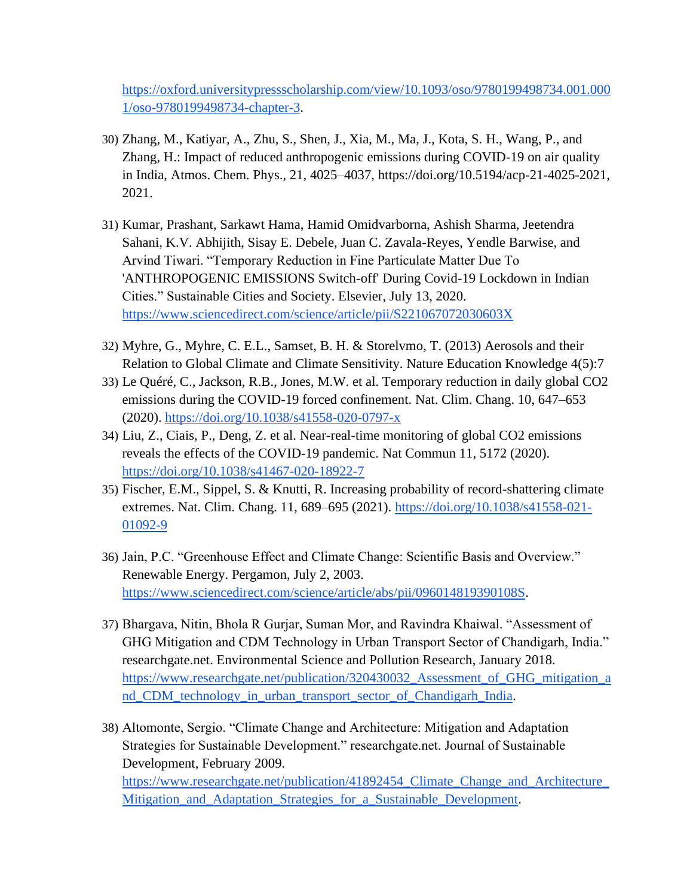[https://oxford.universitypressscholarship.com/view/10.1093/oso/9780199498734.001.000](https://oxford.universitypressscholarship.com/view/10.1093/oso/9780199498734.001.0001/oso-9780199498734-chapter-3) [1/oso-9780199498734-chapter-3.](https://oxford.universitypressscholarship.com/view/10.1093/oso/9780199498734.001.0001/oso-9780199498734-chapter-3)

- <span id="page-10-2"></span>30) Zhang, M., Katiyar, A., Zhu, S., Shen, J., Xia, M., Ma, J., Kota, S. H., Wang, P., and Zhang, H.: Impact of reduced anthropogenic emissions during COVID-19 on air quality in India, Atmos. Chem. Phys., 21, 4025–4037, https://doi.org/10.5194/acp-21-4025-2021, 2021.
- <span id="page-10-3"></span>31) Kumar, Prashant, Sarkawt Hama, Hamid Omidvarborna, Ashish Sharma, Jeetendra Sahani, K.V. Abhijith, Sisay E. Debele, Juan C. Zavala-Reyes, Yendle Barwise, and Arvind Tiwari. "Temporary Reduction in Fine Particulate Matter Due To 'ANTHROPOGENIC EMISSIONS Switch-off' During Covid-19 Lockdown in Indian Cities." Sustainable Cities and Society. Elsevier, July 13, 2020. [https://www.sciencedirect.com/science/article/pii/S221067072030603X](https://www.sciencedirect.com/science/article/pii/S221067072030603X3)
- <span id="page-10-4"></span>32) Myhre, G., Myhre, C. E.L., Samset, B. H. & Storelvmo, T. (2013) Aerosols and their Relation to Global Climate and Climate Sensitivity. Nature Education Knowledge 4(5):7
- <span id="page-10-5"></span>33) Le Quéré, C., Jackson, R.B., Jones, M.W. et al. Temporary reduction in daily global CO2 emissions during the COVID-19 forced confinement. Nat. Clim. Chang. 10, 647–653 (2020).<https://doi.org/10.1038/s41558-020-0797-x>
- <span id="page-10-6"></span>34) Liu, Z., Ciais, P., Deng, Z. et al. Near-real-time monitoring of global CO2 emissions reveals the effects of the COVID-19 pandemic. Nat Commun 11, 5172 (2020). <https://doi.org/10.1038/s41467-020-18922-7>
- <span id="page-10-7"></span>35) Fischer, E.M., Sippel, S. & Knutti, R. Increasing probability of record-shattering climate extremes. Nat. Clim. Chang. 11, 689–695 (2021). [https://doi.org/10.1038/s41558-021-](https://doi.org/10.1038/s41558-021-01092-9) [01092-9](https://doi.org/10.1038/s41558-021-01092-9)
- <span id="page-10-0"></span>36) Jain, P.C. "Greenhouse Effect and Climate Change: Scientific Basis and Overview." Renewable Energy. Pergamon, July 2, 2003. [https://www.sciencedirect.com/science/article/abs/pii/096014819390108S.](https://www.sciencedirect.com/science/article/abs/pii/096014819390108S)
- <span id="page-10-1"></span>37) Bhargava, Nitin, Bhola R Gurjar, Suman Mor, and Ravindra Khaiwal. "Assessment of GHG Mitigation and CDM Technology in Urban Transport Sector of Chandigarh, India." researchgate.net. Environmental Science and Pollution Research, January 2018. [https://www.researchgate.net/publication/320430032\\_Assessment\\_of\\_GHG\\_mitigation\\_a](https://www.researchgate.net/publication/320430032_Assessment_of_GHG_mitigation_and_CDM_technology_in_urban_transport_sector_of_Chandigarh_India) [nd\\_CDM\\_technology\\_in\\_urban\\_transport\\_sector\\_of\\_Chandigarh\\_India.](https://www.researchgate.net/publication/320430032_Assessment_of_GHG_mitigation_and_CDM_technology_in_urban_transport_sector_of_Chandigarh_India)
- <span id="page-10-8"></span>38) Altomonte, Sergio. "Climate Change and Architecture: Mitigation and Adaptation Strategies for Sustainable Development." researchgate.net. Journal of Sustainable Development, February 2009. [https://www.researchgate.net/publication/41892454\\_Climate\\_Change\\_and\\_Architecture\\_](https://www.researchgate.net/publication/41892454_Climate_Change_and_Architecture_Mitigation_and_Adaptation_Strategies_for_a_Sustainable_Development) Mitigation and Adaptation Strategies for a Sustainable Development.